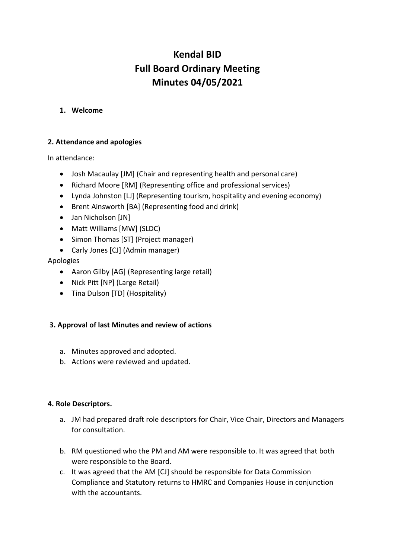# **Kendal BID Full Board Ordinary Meeting Minutes 04/05/2021**

## **1. Welcome**

# **2. Attendance and apologies**

In attendance:

- Josh Macaulay [JM] (Chair and representing health and personal care)
- Richard Moore [RM] (Representing office and professional services)
- Lynda Johnston [LJ] (Representing tourism, hospitality and evening economy)
- Brent Ainsworth [BA] (Representing food and drink)
- Jan Nicholson [JN]
- Matt Williams [MW] (SLDC)
- Simon Thomas [ST] (Project manager)
- Carly Jones [CJ] (Admin manager)

# Apologies

- Aaron Gilby [AG] (Representing large retail)
- Nick Pitt [NP] (Large Retail)
- Tina Dulson [TD] (Hospitality)

# **3. Approval of last Minutes and review of actions**

- a. Minutes approved and adopted.
- b. Actions were reviewed and updated.

## **4. Role Descriptors.**

- a. JM had prepared draft role descriptors for Chair, Vice Chair, Directors and Managers for consultation.
- b. RM questioned who the PM and AM were responsible to. It was agreed that both were responsible to the Board.
- c. It was agreed that the AM [CJ] should be responsible for Data Commission Compliance and Statutory returns to HMRC and Companies House in conjunction with the accountants.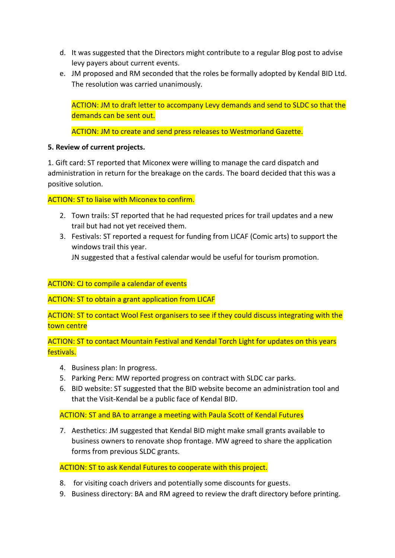- d. It was suggested that the Directors might contribute to a regular Blog post to advise levy payers about current events.
- e. JM proposed and RM seconded that the roles be formally adopted by Kendal BID Ltd. The resolution was carried unanimously.

ACTION: JM to draft letter to accompany Levy demands and send to SLDC so that the demands can be sent out.

ACTION: JM to create and send press releases to Westmorland Gazette.

## **5. Review of current projects.**

1. Gift card: ST reported that Miconex were willing to manage the card dispatch and administration in return for the breakage on the cards. The board decided that this was a positive solution.

ACTION: ST to liaise with Miconex to confirm.

- 2. Town trails: ST reported that he had requested prices for trail updates and a new trail but had not yet received them.
- 3. Festivals: ST reported a request for funding from LICAF (Comic arts) to support the windows trail this year.

JN suggested that a festival calendar would be useful for tourism promotion.

## ACTION: CJ to compile a calendar of events

ACTION: ST to obtain a grant application from LICAF

ACTION: ST to contact Wool Fest organisers to see if they could discuss integrating with the town centre

ACTION: ST to contact Mountain Festival and Kendal Torch Light for updates on this years festivals.

- 4. Business plan: In progress.
- 5. Parking Perx: MW reported progress on contract with SLDC car parks.
- 6. BID website: ST suggested that the BID website become an administration tool and that the Visit-Kendal be a public face of Kendal BID.

## ACTION: ST and BA to arrange a meeting with Paula Scott of Kendal Futures

7. Aesthetics: JM suggested that Kendal BID might make small grants available to business owners to renovate shop frontage. MW agreed to share the application forms from previous SLDC grants.

ACTION: ST to ask Kendal Futures to cooperate with this project.

- 8. for visiting coach drivers and potentially some discounts for guests.
- 9. Business directory: BA and RM agreed to review the draft directory before printing.